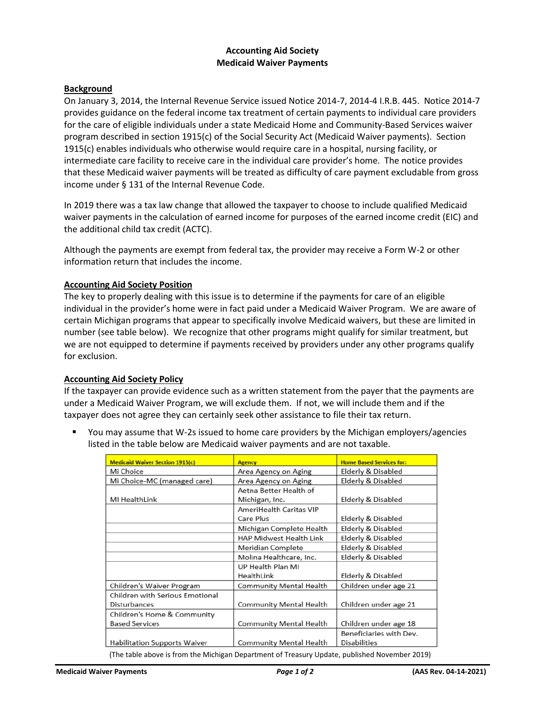## **Accounting Aid Society Medicaid Waiver Payments**

### **Background**

On January 3, 2014, the Internal Revenue Service issued Notice 2014-7, 2014-4 I.R.B. 445. Notice 2014-7 provides guidance on the federal income tax treatment of certain payments to individual care providers for the care of eligible individuals under a state Medicaid Home and Community-Based Services waiver program described in section 1915(c) of the Social Security Act (Medicaid Waiver payments). Section 1915(c) enables individuals who otherwise would require care in a hospital, nursing facility, or intermediate care facility to receive care in the individual care provider's home. The notice provides that these Medicaid waiver payments will be treated as difficulty of care payment excludable from gross income under § 131 of the Internal Revenue Code.

In 2019 there was a tax law change that allowed the taxpayer to choose to include qualified Medicaid waiver payments in the calculation of earned income for purposes of the earned income credit (EIC) and the additional child tax credit (ACTC).

Although the payments are exempt from federal tax, the provider may receive a Form W-2 or other information return that includes the income.

#### **Accounting Aid Society Position**

The key to properly dealing with this issue is to determine if the payments for care of an eligible individual in the provider's home were in fact paid under a Medicaid Waiver Program. We are aware of certain Michigan programs that appear to specifically involve Medicaid waivers, but these are limited in number (see table below). We recognize that other programs might qualify for similar treatment, but we are not equipped to determine if payments received by providers under any other programs qualify for exclusion.

### **Accounting Aid Society Policy**

If the taxpayer can provide evidence such as a written statement from the payer that the payments are under a Medicaid Waiver Program, we will exclude them. If not, we will include them and if the taxpayer does not agree they can certainly seek other assistance to file their tax return.

 You may assume that W-2s issued to home care providers by the Michigan employers/agencies listed in the table below are Medicaid waiver payments and are not taxable.

| <b>Medicaid Waiver Section 1915(c)</b> | <b>Agency</b>                  | <b>Home Based Services for:</b> |
|----------------------------------------|--------------------------------|---------------------------------|
| Mi Choice                              | Area Agency on Aging           | Elderly & Disabled              |
| Mi Choice-MC (managed care)            | Area Agency on Aging           | Elderly & Disabled              |
|                                        | Aetna Better Health of         |                                 |
| MI HealthLink                          | Michigan, Inc.                 | Elderly & Disabled              |
|                                        | AmeriHealth Caritas VIP        |                                 |
|                                        | Care Plus                      | Elderly & Disabled              |
|                                        | Michigan Complete Health       | Elderly & Disabled              |
|                                        | <b>HAP Midwest Health Link</b> | Elderly & Disabled              |
|                                        | Meridian Complete              | Elderly & Disabled              |
|                                        | Molina Healthcare, Inc.        | Elderly & Disabled              |
|                                        | UP Health Plan MI              |                                 |
|                                        | HealthLink                     | Elderly & Disabled              |
| Children's Waiver Program              | Community Mental Health        | Children under age 21           |
| Children with Serious Emotional        |                                |                                 |
| Disturbances                           | Community Mental Health        | Children under age 21           |
| Children's Home & Community            |                                |                                 |
| <b>Based Services</b>                  | Community Mental Health        | Children under age 18           |
|                                        |                                | Beneficiaries with Dev.         |
| <b>Habilitation Supports Waiver</b>    | Community Mental Health        | <b>Disabilities</b>             |

**Medicaid Waiver Payments** *Page 1 of 2* **(AAS Rev. 04-14-2021)**